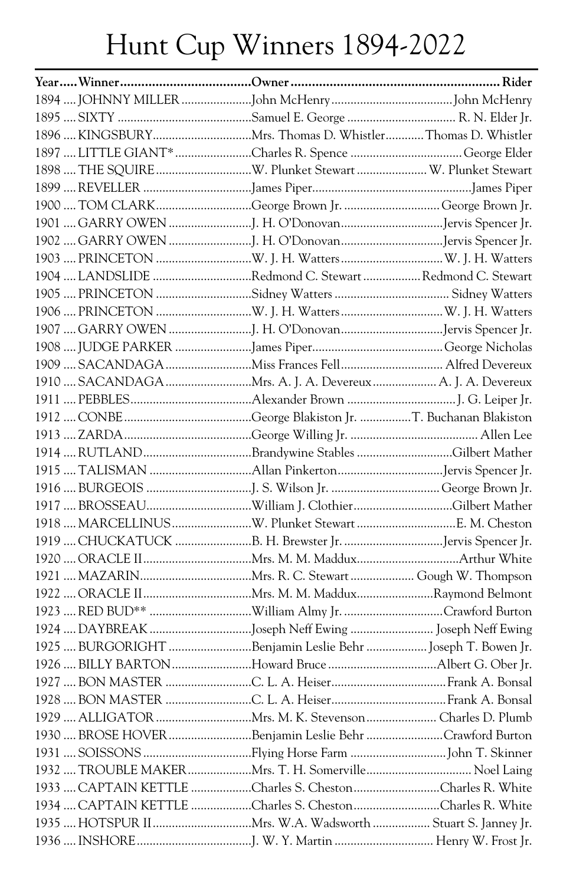## Hunt Cup Winners 1894-2022

| 1897  LITTLE GIANT* Charles R. Spence  George Elder        |  |
|------------------------------------------------------------|--|
|                                                            |  |
|                                                            |  |
| 1900  TOM CLARK George Brown Jr. George Brown Jr.          |  |
|                                                            |  |
|                                                            |  |
|                                                            |  |
| 1904  LANDSLIDE Redmond C. Stewart  Redmond C. Stewart     |  |
|                                                            |  |
|                                                            |  |
|                                                            |  |
|                                                            |  |
|                                                            |  |
|                                                            |  |
|                                                            |  |
|                                                            |  |
|                                                            |  |
|                                                            |  |
|                                                            |  |
|                                                            |  |
|                                                            |  |
|                                                            |  |
|                                                            |  |
|                                                            |  |
|                                                            |  |
|                                                            |  |
|                                                            |  |
|                                                            |  |
| 1925  BURGORIGHT Benjamin Leslie Behr  Joseph T. Bowen Jr. |  |
|                                                            |  |
|                                                            |  |
|                                                            |  |
|                                                            |  |
| 1930  BROSE HOVER Benjamin Leslie Behr Crawford Burton     |  |
|                                                            |  |
| 1932  TROUBLE MAKERMrs. T. H. Somerville Noel Laing        |  |
| 1933  CAPTAIN KETTLE Charles S. Cheston Charles R. White   |  |
| 1934  CAPTAIN KETTLE Charles S. Cheston Charles R. White   |  |
|                                                            |  |
|                                                            |  |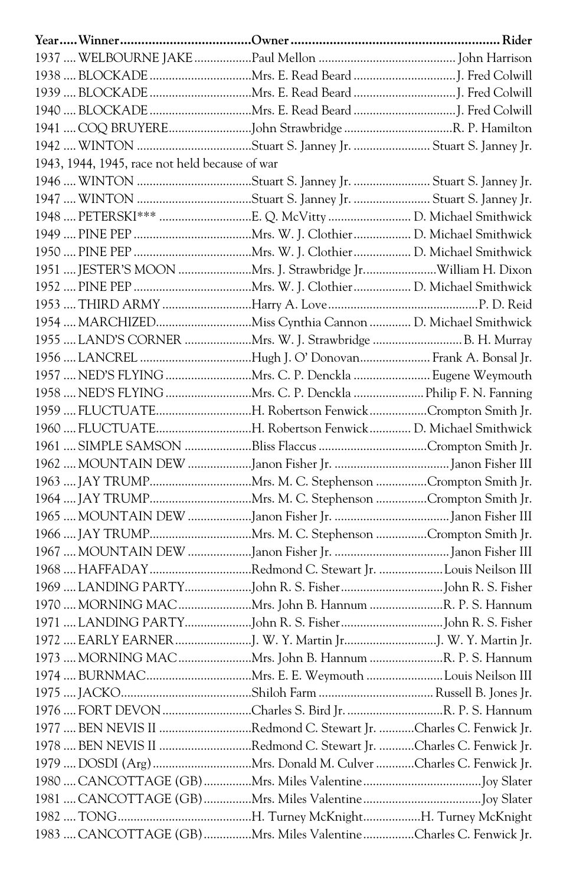| 1942  WINTON Stuart S. Janney Jr.  Stuart S. Janney Jr.           |  |
|-------------------------------------------------------------------|--|
| 1943, 1944, 1945, race not held because of war                    |  |
|                                                                   |  |
|                                                                   |  |
|                                                                   |  |
|                                                                   |  |
|                                                                   |  |
| 1951  JESTER'S MOON Mrs. J. Strawbridge JrWilliam H. Dixon        |  |
|                                                                   |  |
|                                                                   |  |
| 1954  MARCHIZEDMiss Cynthia Cannon  D. Michael Smithwick          |  |
| 1955  LAND'S CORNER Mrs. W. J. Strawbridge  B. H. Murray          |  |
| 1956  LANCREL Hugh J. O' Donovan Frank A. Bonsal Jr.              |  |
| 1957  NED'S FLYING Mrs. C. P. Denckla  Eugene Weymouth            |  |
| 1958  NED'S FLYING Mrs. C. P. Denckla  Philip F. N. Fanning       |  |
| 1959  FLUCTUATEH. Robertson FenwickCrompton Smith Jr.             |  |
| 1960  FLUCTUATEH. Robertson Fenwick D. Michael Smithwick          |  |
|                                                                   |  |
|                                                                   |  |
|                                                                   |  |
|                                                                   |  |
|                                                                   |  |
|                                                                   |  |
|                                                                   |  |
| 1968  HAFFADAY Redmond C. Stewart Jr. Louis Neilson III           |  |
|                                                                   |  |
| 1970  MORNING MAC Mrs. John B. Hannum R. P. S. Hannum             |  |
|                                                                   |  |
|                                                                   |  |
| 1973  MORNING MAC Mrs. John B. Hannum R. P. S. Hannum             |  |
|                                                                   |  |
|                                                                   |  |
|                                                                   |  |
| 1977  BEN NEVIS II Redmond C. Stewart Jr. Charles C. Fenwick Jr.  |  |
| 1978  BEN NEVIS II Redmond C. Stewart Jr. Charles C. Fenwick Jr.  |  |
|                                                                   |  |
|                                                                   |  |
|                                                                   |  |
|                                                                   |  |
| 1983  CANCOTTAGE (GB) Mrs. Miles Valentine Charles C. Fenwick Jr. |  |